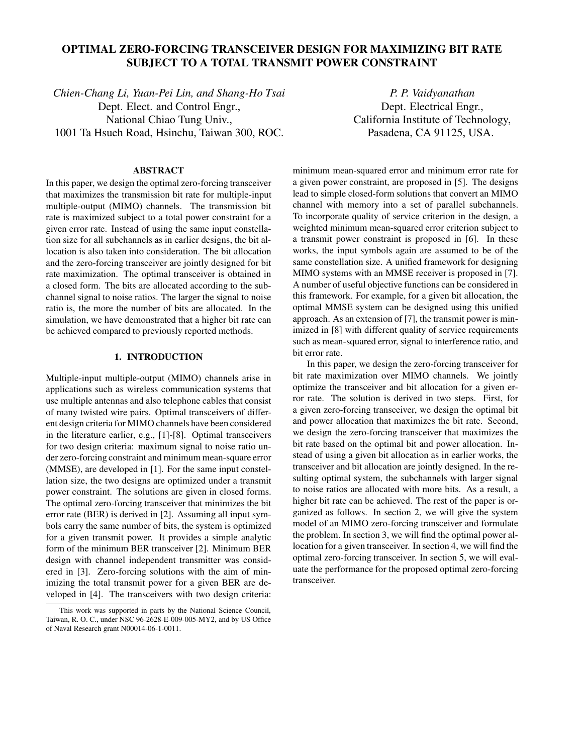# **OPTIMAL ZERO-FORCING TRANSCEIVER DESIGN FOR MAXIMIZING BIT RATE SUBJECT TO A TOTAL TRANSMIT POWER CONSTRAINT**

*Chien-Chang Li, Yuan-Pei Lin, and Shang-Ho Tsai* Dept. Elect. and Control Engr., National Chiao Tung Univ., 1001 Ta Hsueh Road, Hsinchu, Taiwan 300, ROC.

# **ABSTRACT**

In this paper, we design the optimal zero-forcing transceiver that maximizes the transmission bit rate for multiple-input multiple-output (MIMO) channels. The transmission bit rate is maximized subject to a total power constraint for a given error rate. Instead of using the same input constellation size for all subchannels as in earlier designs, the bit allocation is also taken into consideration. The bit allocation and the zero-forcing transceiver are jointly designed for bit rate maximization. The optimal transceiver is obtained in a closed form. The bits are allocated according to the subchannel signal to noise ratios. The larger the signal to noise ratio is, the more the number of bits are allocated. In the simulation, we have demonstrated that a higher bit rate can be achieved compared to previously reported methods.

## **1. INTRODUCTION**

Multiple-input multiple-output (MIMO) channels arise in applications such as wireless communication systems that use multiple antennas and also telephone cables that consist of many twisted wire pairs. Optimal transceivers of different design criteria for MIMO channels have been considered in the literature earlier, e.g., [1]-[8]. Optimal transceivers for two design criteria: maximum signal to noise ratio under zero-forcing constraint and minimum mean-square error (MMSE), are developed in [1]. For the same input constellation size, the two designs are optimized under a transmit power constraint. The solutions are given in closed forms. The optimal zero-forcing transceiver that minimizes the bit error rate (BER) is derived in [2]. Assuming all input symbols carry the same number of bits, the system is optimized for a given transmit power. It provides a simple analytic form of the minimum BER transceiver [2]. Minimum BER design with channel independent transmitter was considered in [3]. Zero-forcing solutions with the aim of minimizing the total transmit power for a given BER are developed in [4]. The transceivers with two design criteria:

*P. P. Vaidyanathan* Dept. Electrical Engr., California Institute of Technology, Pasadena, CA 91125, USA.

minimum mean-squared error and minimum error rate for a given power constraint, are proposed in [5]. The designs lead to simple closed-form solutions that convert an MIMO channel with memory into a set of parallel subchannels. To incorporate quality of service criterion in the design, a weighted minimum mean-squared error criterion subject to a transmit power constraint is proposed in [6]. In these works, the input symbols again are assumed to be of the same constellation size. A unified framework for designing MIMO systems with an MMSE receiver is proposed in [7]. A number of useful objective functions can be considered in this framework. For example, for a given bit allocation, the optimal MMSE system can be designed using this unified approach. As an extension of [7], the transmit power is minimized in [8] with different quality of service requirements such as mean-squared error, signal to interference ratio, and bit error rate.

In this paper, we design the zero-forcing transceiver for bit rate maximization over MIMO channels. We jointly optimize the transceiver and bit allocation for a given error rate. The solution is derived in two steps. First, for a given zero-forcing transceiver, we design the optimal bit and power allocation that maximizes the bit rate. Second, we design the zero-forcing transceiver that maximizes the bit rate based on the optimal bit and power allocation. Instead of using a given bit allocation as in earlier works, the transceiver and bit allocation are jointly designed. In the resulting optimal system, the subchannels with larger signal to noise ratios are allocated with more bits. As a result, a higher bit rate can be achieved. The rest of the paper is organized as follows. In section 2, we will give the system model of an MIMO zero-forcing transceiver and formulate the problem. In section 3, we will find the optimal power allocation for a given transceiver. In section 4, we will find the optimal zero-forcing transceiver. In section 5, we will evaluate the performance for the proposed optimal zero-forcing transceiver.

This work was supported in parts by the National Science Council, Taiwan, R. O. C., under NSC 96-2628-E-009-005-MY2, and by US Office of Naval Research grant N00014-06-1-0011.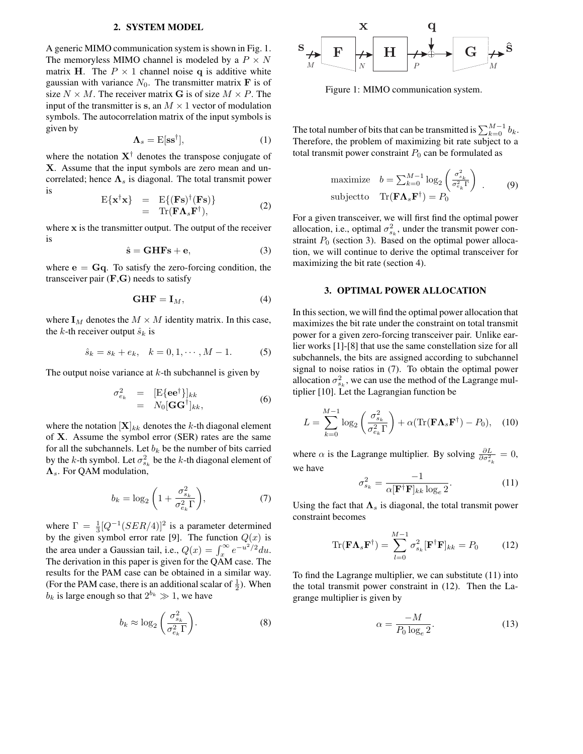### **2. SYSTEM MODEL**

A generic MIMO communication system is shown in Fig. 1. The memoryless MIMO channel is modeled by a  $P \times N$ matrix H. The  $P \times 1$  channel noise q is additive white gaussian with variance  $N_0$ . The transmitter matrix **F** is of size  $N \times M$ . The receiver matrix G is of size  $M \times P$ . The input of the transmitter is s, an  $M \times 1$  vector of modulation symbols. The autocorrelation matrix of the input symbols is given by

$$
\Lambda_s = \mathrm{E}[\mathrm{ss}^\dagger],\tag{1}
$$

where the notation  $X^{\dagger}$  denotes the transpose conjugate of X. Assume that the input symbols are zero mean and uncorrelated; hence  $\Lambda_s$  is diagonal. The total transmit power is

$$
\begin{array}{rcl}\n\mathbf{E}\{\mathbf{x}^{\dagger}\mathbf{x}\} & = & \mathbf{E}\{(\mathbf{F}\mathbf{s})^{\dagger}(\mathbf{F}\mathbf{s})\} \\
& = & \mathbf{Tr}(\mathbf{F}\mathbf{\Lambda}_{s}\mathbf{F}^{\dagger}),\n\end{array} \tag{2}
$$

where x is the transmitter output. The output of the receiver is

$$
\hat{\mathbf{s}} = \mathbf{GHFs} + \mathbf{e},\tag{3}
$$

where  $e = Gq$ . To satisfy the zero-forcing condition, the transceiver pair  $(F, G)$  needs to satisfy

$$
GHF = I_M, \t\t(4)
$$

where  $I_M$  denotes the  $M \times M$  identity matrix. In this case, the k-th receiver output  $\hat{s}_k$  is

$$
\hat{s}_k = s_k + e_k, \quad k = 0, 1, \cdots, M - 1.
$$
 (5)

The output noise variance at  $k$ -th subchannel is given by

$$
\begin{array}{rcl}\n\sigma_{e_k}^2 & = & [\mathbf{E}\{\mathbf{e}\mathbf{e}^\dagger\}]_{kk} \\
& = & N_0[\mathbf{G}\mathbf{G}^\dagger]_{kk},\n\end{array} \tag{6}
$$

where the notation  $[X]_{kk}$  denotes the k-th diagonal element of X. Assume the symbol error (SER) rates are the same for all the subchannels. Let  $b_k$  be the number of bits carried by the k-th symbol. Let  $\sigma_{s_k}^2$  be the k-th diagonal element of  $\Lambda_s$ . For QAM modulation,

$$
b_k = \log_2\left(1 + \frac{\sigma_{s_k}^2}{\sigma_{e_k}^2 \Gamma}\right),\tag{7}
$$

where  $\Gamma = \frac{1}{3} [Q^{-1}(SER/4)]^2$  is a parameter determined by the given symbol error rate [9]. The function  $Q(x)$  is the area under a Gaussian tail, i.e.,  $Q(x) = \int_x^{\infty} e^{-u^2/2} du$ . The derivation in this paper is given for the QAM case. The results for the PAM case can be obtained in a similar way. (For the PAM case, there is an additional scalar of  $\frac{1}{2}$ ). When  $b_k$  is large enough so that  $2^{b_k} \gg 1$ , we have

$$
b_k \approx \log_2\left(\frac{\sigma_{s_k}^2}{\sigma_{e_k}^2 \Gamma}\right). \tag{8}
$$



Figure 1: MIMO communication system.

The total number of bits that can be transmitted is  $\sum_{k=0}^{M-1} b_k$ . Therefore, the problem of maximizing bit rate subject to a total transmit power constraint  $P_0$  can be formulated as

maximize 
$$
b = \sum_{k=0}^{M-1} \log_2 \left( \frac{\sigma_{s_k}^2}{\sigma_{e_k}^2 \Gamma} \right)
$$
.  
subject to  $\text{Tr}(\mathbf{F} \mathbf{\Lambda}_s \mathbf{F}^{\dagger}) = P_0$  (9)

For a given transceiver, we will first find the optimal power allocation, i.e., optimal  $\sigma_{s_k}^2$ , under the transmit power constraint  $P_0$  (section 3). Based on the optimal power allocation, we will continue to derive the optimal transceiver for maximizing the bit rate (section 4).

#### **3. OPTIMAL POWER ALLOCATION**

In this section, we will find the optimal power allocation that maximizes the bit rate under the constraint on total transmit power for a given zero-forcing transceiver pair. Unlike earlier works [1]-[8] that use the same constellation size for all subchannels, the bits are assigned according to subchannel signal to noise ratios in (7). To obtain the optimal power allocation  $\sigma_{s_k}^2$ , we can use the method of the Lagrange multiplier [10]. Let the Lagrangian function be

$$
L = \sum_{k=0}^{M-1} \log_2 \left( \frac{\sigma_{s_k}^2}{\sigma_{e_k}^2 \Gamma} \right) + \alpha (\text{Tr}(\mathbf{F} \mathbf{\Lambda}_s \mathbf{F}^\dagger) - P_0), \quad (10)
$$

where  $\alpha$  is the Lagrange multiplier. By solving  $\frac{\partial L}{\partial \sigma_{s_k}^2} = 0$ , we have

$$
\sigma_{s_k}^2 = \frac{-1}{\alpha [\mathbf{F}^\dagger \mathbf{F}]_{kk} \log_e 2}.
$$
 (11)

Using the fact that  $\Lambda_s$  is diagonal, the total transmit power constraint becomes

$$
\operatorname{Tr}(\mathbf{F}\mathbf{\Lambda}_s\mathbf{F}^\dagger) = \sum_{l=0}^{M-1} \sigma_{s_k}^2 [\mathbf{F}^\dagger \mathbf{F}]_{kk} = P_0 \tag{12}
$$

To find the Lagrange multiplier, we can substitute (11) into the total transmit power constraint in (12). Then the Lagrange multiplier is given by

$$
\alpha = \frac{-M}{P_0 \log_e 2}.\tag{13}
$$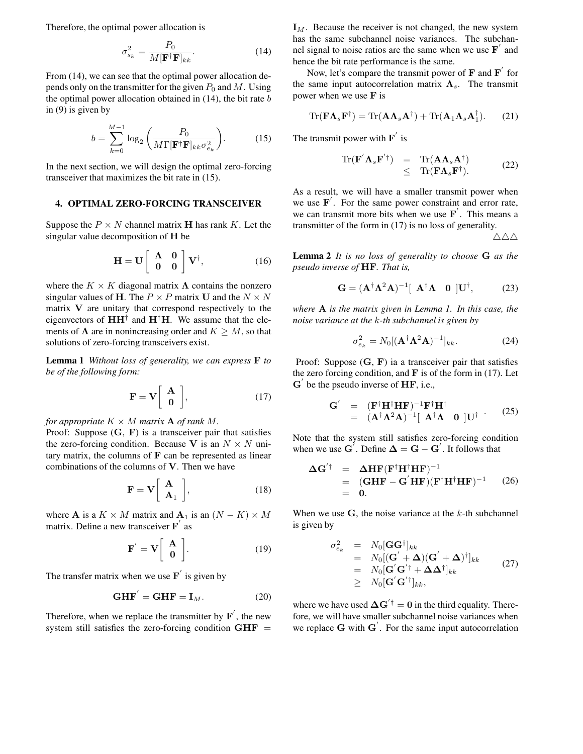Therefore, the optimal power allocation is

$$
\sigma_{s_k}^2 = \frac{P_0}{M[\mathbf{F}^\dagger \mathbf{F}]_{kk}}.\tag{14}
$$

From  $(14)$ , we can see that the optimal power allocation depends only on the transmitter for the given  $P_0$  and M. Using the optimal power allocation obtained in  $(14)$ , the bit rate  $b$ in (9) is given by

$$
b = \sum_{k=0}^{M-1} \log_2 \left( \frac{P_0}{M \Gamma[\mathbf{F}^\dagger \mathbf{F}]_{kk} \sigma_{e_k}^2} \right).
$$
 (15)

In the next section, we will design the optimal zero-forcing transceiver that maximizes the bit rate in (15).

# **4. OPTIMAL ZERO-FORCING TRANSCEIVER**

Suppose the  $P \times N$  channel matrix **H** has rank K. Let the singular value decomposition of H be

$$
\mathbf{H} = \mathbf{U} \begin{bmatrix} \mathbf{\Lambda} & \mathbf{0} \\ \mathbf{0} & \mathbf{0} \end{bmatrix} \mathbf{V}^{\dagger}, \tag{16}
$$

where the  $K \times K$  diagonal matrix  $\Lambda$  contains the nonzero singular values of H. The  $P \times P$  matrix U and the  $N \times N$ matrix V are unitary that correspond respectively to the eigenvectors of  $HH^{\dagger}$  and  $H^{\dagger}H$ . We assume that the elements of  $\Lambda$  are in nonincreasing order and  $K \geq M$ , so that solutions of zero-forcing transceivers exist.

**Lemma 1** *Without loss of generality, we can express* F *to be of the following form:*

$$
\mathbf{F} = \mathbf{V} \left[ \begin{array}{c} \mathbf{A} \\ \mathbf{0} \end{array} \right], \tag{17}
$$

*for appropriate*  $K \times M$  *matrix* **A** *of rank* M.

Proof: Suppose  $(G, F)$  is a transceiver pair that satisfies the zero-forcing condition. Because V is an  $N \times N$  unitary matrix, the columns of  **can be represented as linear** combinations of the columns of  $V$ . Then we have

$$
\mathbf{F} = \mathbf{V} \left[ \begin{array}{c} \mathbf{A} \\ \mathbf{A}_1 \end{array} \right], \tag{18}
$$

where **A** is a  $K \times M$  matrix and  $A_1$  is an  $(N - K) \times M$ matrix. Define a new transceiver  $\overrightarrow{F}$  as

$$
\mathbf{F}' = \mathbf{V} \begin{bmatrix} \mathbf{A} \\ \mathbf{0} \end{bmatrix} . \tag{19}
$$

The transfer matrix when we use  $\mathbf{F}'$  is given by

$$
\mathbf{GHF}^{'} = \mathbf{GHF} = \mathbf{I}_M. \tag{20}
$$

Therefore, when we replace the transmitter by  $\mathbf{F}'$ , the new system still satisfies the zero-forcing condition  $GHF =$   $I_M$ . Because the receiver is not changed, the new system has the same subchannel noise variances. The subchannel signal to noise ratios are the same when we use  $\mathbf{F}'$  and hence the bit rate performance is the same.

Now, let's compare the transmit power of  $\mathbf F$  and  $\mathbf F'$  for the same input autocorrelation matrix  $\Lambda_s$ . The transmit power when we use  $\bf{F}$  is

$$
\operatorname{Tr}(\mathbf{F}\mathbf{\Lambda}_s\mathbf{F}^\dagger) = \operatorname{Tr}(\mathbf{A}\mathbf{\Lambda}_s\mathbf{A}^\dagger) + \operatorname{Tr}(\mathbf{A}_1\mathbf{\Lambda}_s\mathbf{A}_1^\dagger). \tag{21}
$$

The transmit power with  $\mathbf{F}'$  is

$$
\mathrm{Tr}(\mathbf{F}' \mathbf{\Lambda}_s \mathbf{F}'^{\dagger}) = \mathrm{Tr}(\mathbf{A} \mathbf{\Lambda}_s \mathbf{A}^{\dagger}) \leq \mathrm{Tr}(\mathbf{F} \mathbf{\Lambda}_s \mathbf{F}^{\dagger}).
$$
\n(22)

As a result, we will have a smaller transmit power when we use  $\mathbf{F}'$ . For the same power constraint and error rate, we can transmit more bits when we use  $\mathbf{F}'$ . This means a transmitter of the form in (17) is no loss of generality.

 $\triangle \triangle \triangle$ 

**Lemma 2** *It is no loss of generality to choose* G *as the pseudo inverse of* HF*. That is,*

$$
\mathbf{G} = (\mathbf{A}^{\dagger} \mathbf{\Lambda}^2 \mathbf{A})^{-1} [\mathbf{A}^{\dagger} \mathbf{\Lambda} \quad \mathbf{0} \] \mathbf{U}^{\dagger}, \tag{23}
$$

*where* A *is the matrix given in Lemma 1. In this case, the noise variance at the* k*-th subchannel is given by*

$$
\sigma_{e_k}^2 = N_0 [(\mathbf{A}^\dagger \mathbf{\Lambda}^2 \mathbf{A})^{-1}]_{kk}.
$$
 (24)

Proof: Suppose  $(G, F)$  ia a transceiver pair that satisfies the zero forcing condition, and  $\bf{F}$  is of the form in (17). Let  $G'$  be the pseudo inverse of  $HF$ , i.e.,

$$
\begin{array}{rcl}\n\mathbf{G}' & = & (\mathbf{F}^\dagger \mathbf{H}^\dagger \mathbf{H} \mathbf{F})^{-1} \mathbf{F}^\dagger \mathbf{H}^\dagger \\
& = & (\mathbf{A}^\dagger \mathbf{\Lambda}^2 \mathbf{A})^{-1} [\mathbf{A}^\dagger \mathbf{\Lambda} \quad \mathbf{0} \] \mathbf{U}^\dagger \end{array} \tag{25}
$$

Note that the system still satisfies zero-forcing condition when we use  $G'$ . Define  $\Delta = G - G'$ . It follows that

$$
\begin{array}{rcl}\n\Delta \mathbf{G}'^{\dagger} & = & \Delta \mathbf{H} \mathbf{F} (\mathbf{F}^{\dagger} \mathbf{H}^{\dagger} \mathbf{H} \mathbf{F})^{-1} \\
& = & (\mathbf{G} \mathbf{H} \mathbf{F} - \mathbf{G}' \mathbf{H} \mathbf{F}) (\mathbf{F}^{\dagger} \mathbf{H}^{\dagger} \mathbf{H} \mathbf{F})^{-1} \\
& = & 0.\n\end{array} \tag{26}
$$

When we use  $G$ , the noise variance at the  $k$ -th subchannel is given by

$$
\sigma_{e_k}^2 = N_0 [\mathbf{G} \mathbf{G}^\dagger]_{kk}
$$
  
\n
$$
= N_0 [(\mathbf{G}' + \mathbf{\Delta})(\mathbf{G}' + \mathbf{\Delta})^\dagger]_{kk}
$$
  
\n
$$
= N_0 [\mathbf{G}' \mathbf{G}'^\dagger + \mathbf{\Delta} \mathbf{\Delta}^\dagger]_{kk}
$$
  
\n
$$
\geq N_0 [\mathbf{G}' \mathbf{G}'^\dagger]_{kk},
$$
\n(27)

where we have used  $\Delta G^{'\dagger} = 0$  in the third equality. Therefore, we will have smaller subchannel noise variances when we replace  $G$  with  $G'$ . For the same input autocorrelation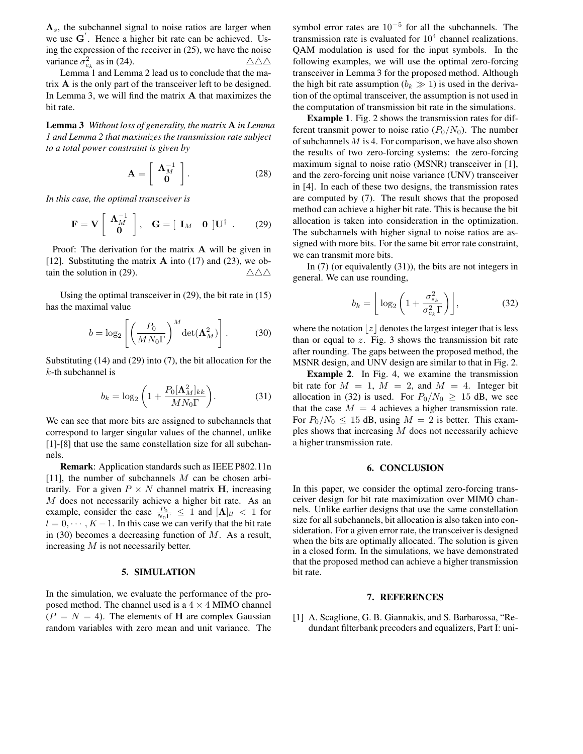$\Lambda_s$ , the subchannel signal to noise ratios are larger when we use G . Hence a higher bit rate can be achieved. Using the expression of the receiver in (25), we have the noise variance  $\sigma_{e_k}^2$  as in (24).  $\triangle \triangle \triangle$ 

Lemma 1 and Lemma 2 lead us to conclude that the matrix A is the only part of the transceiver left to be designed. In Lemma 3, we will find the matrix  $A$  that maximizes the bit rate.

**Lemma 3** *Without loss of generality, the matrix* A *in Lemma 1 and Lemma 2 that maximizes the transmission rate subject to a total power constraint is given by*

$$
\mathbf{A} = \left[ \begin{array}{c} \mathbf{\Lambda}_M^{-1} \\ \mathbf{0} \end{array} \right]. \tag{28}
$$

*In this case, the optimal transceiver is*

$$
\mathbf{F} = \mathbf{V} \left[ \begin{array}{c} \mathbf{\Lambda}_M^{-1} \\ \mathbf{0} \end{array} \right], \quad \mathbf{G} = \left[ \begin{array}{cc} \mathbf{I}_M & \mathbf{0} \end{array} \right] \mathbf{U}^\dagger . \tag{29}
$$

Proof: The derivation for the matrix A will be given in [12]. Substituting the matrix  $\bf{A}$  into (17) and (23), we obtain the solution in (29).  $\triangle \triangle \triangle$ 

Using the optimal transceiver in (29), the bit rate in (15) has the maximal value

$$
b = \log_2 \left[ \left( \frac{P_0}{M N_0 \Gamma} \right)^M \det(\mathbf{\Lambda}_M^2) \right]. \tag{30}
$$

Substituting (14) and (29) into (7), the bit allocation for the  $k$ -th subchannel is

$$
b_k = \log_2\left(1 + \frac{P_0[\mathbf{\Lambda}_M^2]_{kk}}{MN_0\Gamma}\right). \tag{31}
$$

We can see that more bits are assigned to subchannels that correspond to larger singular values of the channel, unlike [1]-[8] that use the same constellation size for all subchannels.

**Remark**: Application standards such as IEEE P802.11n [11], the number of subchannels M can be chosen arbitrarily. For a given  $P \times N$  channel matrix H, increasing M does not necessarily achieve a higher bit rate. As an example, consider the case  $\frac{P_0}{N_0\Gamma} \leq 1$  and  $[\mathbf{\Lambda}]_{ll} < 1$  for  $l = 0, \dots, K - 1$ . In this case we can verify that the bit rate in (30) becomes a decreasing function of  $M$ . As a result, increasing M is not necessarily better.

#### **5. SIMULATION**

In the simulation, we evaluate the performance of the proposed method. The channel used is a  $4 \times 4$  MIMO channel  $(P = N = 4)$ . The elements of H are complex Gaussian random variables with zero mean and unit variance. The

symbol error rates are  $10^{-5}$  for all the subchannels. The transmission rate is evaluated for  $10<sup>4</sup>$  channel realizations. QAM modulation is used for the input symbols. In the following examples, we will use the optimal zero-forcing transceiver in Lemma 3 for the proposed method. Although the high bit rate assumption  $(b_k \gg 1)$  is used in the derivation of the optimal transceiver, the assumption is not used in the computation of transmission bit rate in the simulations.

**Example 1**. Fig. 2 shows the transmission rates for different transmit power to noise ratio  $(P_0/N_0)$ . The number of subchannels  $M$  is 4. For comparison, we have also shown the results of two zero-forcing systems: the zero-forcing maximum signal to noise ratio (MSNR) transceiver in [1], and the zero-forcing unit noise variance (UNV) transceiver in [4]. In each of these two designs, the transmission rates are computed by (7). The result shows that the proposed method can achieve a higher bit rate. This is because the bit allocation is taken into consideration in the optimization. The subchannels with higher signal to noise ratios are assigned with more bits. For the same bit error rate constraint, we can transmit more bits.

In (7) (or equivalently (31)), the bits are not integers in general. We can use rounding,

$$
b_k = \left\lfloor \log_2 \left( 1 + \frac{\sigma_{s_k}^2}{\sigma_{e_k}^2 \Gamma} \right) \right\rfloor, \tag{32}
$$

where the notation  $|z|$  denotes the largest integer that is less than or equal to  $z$ . Fig. 3 shows the transmission bit rate after rounding. The gaps between the proposed method, the MSNR design, and UNV design are similar to that in Fig. 2.

**Example 2**. In Fig. 4, we examine the transmission bit rate for  $M = 1$ ,  $M = 2$ , and  $M = 4$ . Integer bit allocation in (32) is used. For  $P_0/N_0 \ge 15$  dB, we see that the case  $M = 4$  achieves a higher transmission rate. For  $P_0/N_0 \le 15$  dB, using  $M = 2$  is better. This examples shows that increasing M does not necessarily achieve a higher transmission rate.

## **6. CONCLUSION**

In this paper, we consider the optimal zero-forcing transceiver design for bit rate maximization over MIMO channels. Unlike earlier designs that use the same constellation size for all subchannels, bit allocation is also taken into consideration. For a given error rate, the transceiver is designed when the bits are optimally allocated. The solution is given in a closed form. In the simulations, we have demonstrated that the proposed method can achieve a higher transmission bit rate.

#### **7. REFERENCES**

[1] A. Scaglione, G. B. Giannakis, and S. Barbarossa, "Redundant filterbank precoders and equalizers, Part I: uni-